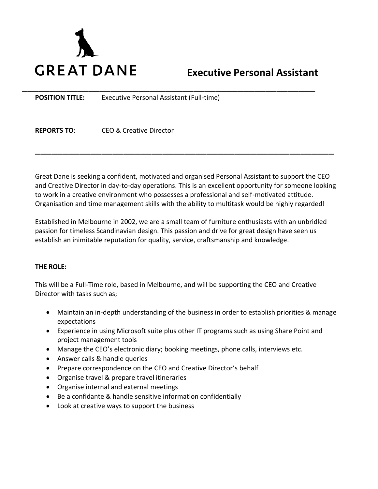

## **Executive Personal Assistant**

**POSITION TITLE:** Executive Personal Assistant (Full-time)

**REPORTS TO**: CEO & Creative Director

Great Dane is seeking a confident, motivated and organised Personal Assistant to support the CEO and Creative Director in day-to-day operations. This is an excellent opportunity for someone looking to work in a creative environment who possesses a professional and self-motivated attitude. Organisation and time management skills with the ability to multitask would be highly regarded!

\_\_\_\_\_\_\_\_\_\_\_\_\_\_\_\_\_\_\_\_\_\_\_\_\_\_\_\_\_\_\_\_\_\_\_\_\_\_\_\_\_\_\_\_\_\_\_\_\_\_\_\_\_\_

\_\_\_\_\_\_\_\_\_\_\_\_\_\_\_\_\_\_\_\_\_\_\_\_\_\_\_\_\_\_\_\_\_\_\_\_\_\_\_\_\_\_\_\_\_\_\_\_\_\_\_\_\_

Established in Melbourne in 2002, we are a small team of furniture enthusiasts with an unbridled passion for timeless Scandinavian design. This passion and drive for great design have seen us establish an inimitable reputation for quality, service, craftsmanship and knowledge.

## **THE ROLE:**

This will be a Full-Time role, based in Melbourne, and will be supporting the CEO and Creative Director with tasks such as;

- Maintain an in-depth understanding of the business in order to establish priorities & manage expectations
- Experience in using Microsoft suite plus other IT programs such as using Share Point and project management tools
- Manage the CEO's electronic diary; booking meetings, phone calls, interviews etc.
- Answer calls & handle queries
- Prepare correspondence on the CEO and Creative Director's behalf
- Organise travel & prepare travel itineraries
- Organise internal and external meetings
- Be a confidante & handle sensitive information confidentially
- Look at creative ways to support the business